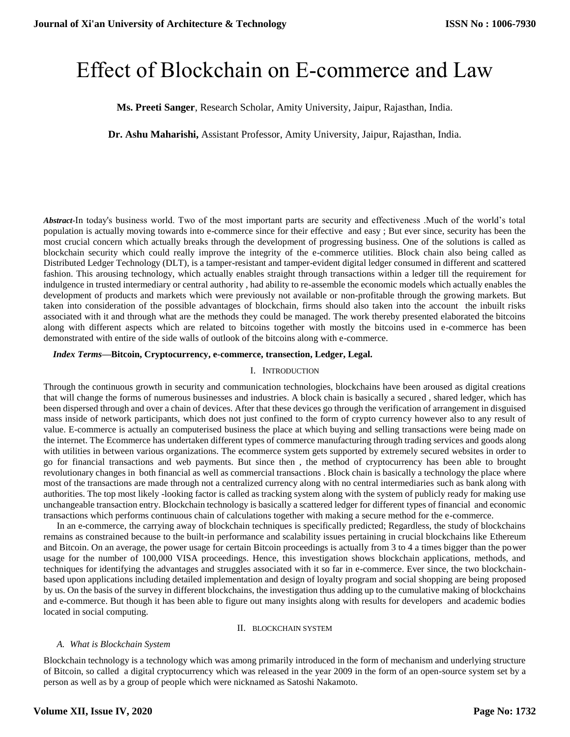# Effect of Blockchain on E-commerce and Law

# **Ms. Preeti Sanger**, Research Scholar, Amity University, Jaipur, Rajasthan, India.

**Dr. Ashu Maharishi,** Assistant Professor, Amity University, Jaipur, Rajasthan, India.

*Abstract-*In today's business world. Two of the most important parts are security and effectiveness .Much of the world's total population is actually moving towards into e-commerce since for their effective and easy ; But ever since, security has been the most crucial concern which actually breaks through the development of progressing business. One of the solutions is called as blockchain security which could really improve the integrity of the e-commerce utilities. Block chain also being called as Distributed Ledger Technology (DLT), is a tamper-resistant and tamper-evident digital ledger consumed in different and scattered fashion. This arousing technology, which actually enables straight through transactions within a ledger till the requirement for indulgence in trusted intermediary or central authority , had ability to re-assemble the economic models which actually enables the development of products and markets which were previously not available or non-profitable through the growing markets. But taken into consideration of the possible advantages of blockchain, firms should also taken into the account the inbuilt risks associated with it and through what are the methods they could be managed. The work thereby presented elaborated the bitcoins along with different aspects which are related to bitcoins together with mostly the bitcoins used in e-commerce has been demonstrated with entire of the side walls of outlook of the bitcoins along with e-commerce.

## *Index Terms***—Bitcoin, Cryptocurrency, e-commerce, transection, Ledger, Legal.**

#### I. INTRODUCTION

Through the continuous growth in security and communication technologies, blockchains have been aroused as digital creations that will change the forms of numerous businesses and industries. A block chain is basically a secured , shared ledger, which has been dispersed through and over a chain of devices. After that these devices go through the verification of arrangement in disguised mass inside of network participants, which does not just confined to the form of crypto currency however also to any result of value. E-commerce is actually an computerised business the place at which buying and selling transactions were being made on the internet. The Ecommerce has undertaken different types of commerce manufacturing through trading services and goods along with utilities in between various organizations. The ecommerce system gets supported by extremely secured websites in order to go for financial transactions and web payments. But since then , the method of cryptocurrency has been able to brought revolutionary changes in both financial as well as commercial transactions . Block chain is basically a technology the place where most of the transactions are made through not a centralized currency along with no central intermediaries such as bank along with authorities. The top most likely -looking factor is called as tracking system along with the system of publicly ready for making use unchangeable transaction entry. Blockchain technology is basically a scattered ledger for different types of financial and economic transactions which performs continuous chain of calculations together with making a secure method for the e-commerce.

In an e-commerce, the carrying away of blockchain techniques is specifically predicted; Regardless, the study of blockchains remains as constrained because to the built-in performance and scalability issues pertaining in crucial blockchains like Ethereum and Bitcoin. On an average, the power usage for certain Bitcoin proceedings is actually from 3 to 4 a times bigger than the power usage for the number of 100,000 VISA proceedings. Hence, this investigation shows blockchain applications, methods, and techniques for identifying the advantages and struggles associated with it so far in e-commerce. Ever since, the two blockchainbased upon applications including detailed implementation and design of loyalty program and social shopping are being proposed by us. On the basis of the survey in different blockchains, the investigation thus adding up to the cumulative making of blockchains and e-commerce. But though it has been able to figure out many insights along with results for developers and academic bodies located in social computing.

#### II. BLOCKCHAIN SYSTEM

## *A. What is Blockchain System*

Blockchain technology is a technology which was among primarily introduced in the form of mechanism and underlying structure of Bitcoin, so called a digital cryptocurrency which was released in the year 2009 in the form of an open-source system set by a person as well as by a group of people which were nicknamed as Satoshi Nakamoto.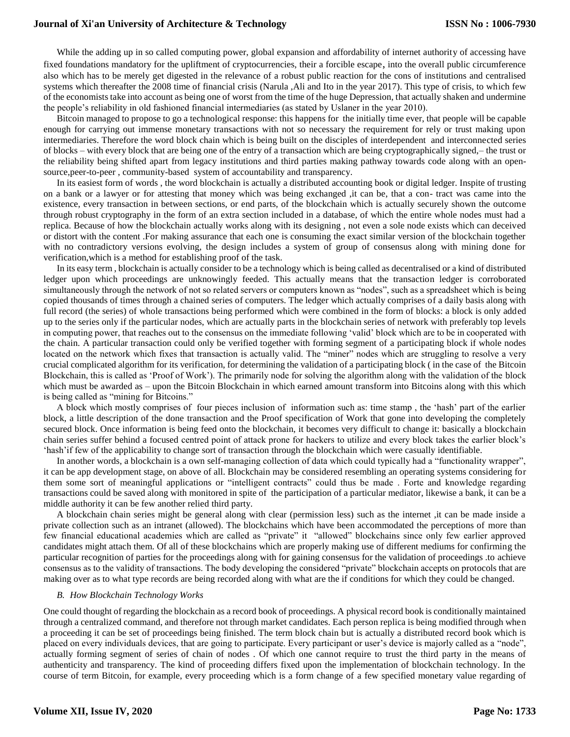While the adding up in so called computing power, global expansion and affordability of internet authority of accessing have fixed foundations mandatory for the upliftment of cryptocurrencies, their a forcible escape, into the overall public circumference also which has to be merely get digested in the relevance of a robust public reaction for the cons of institutions and centralised systems which thereafter the 2008 time of financial crisis (Narula ,Ali and Ito in the year 2017). This type of crisis, to which few of the economists take into account as being one of worst from the time of the huge Depression, that actually shaken and undermine the people's reliability in old fashioned financial intermediaries (as stated by Uslaner in the year 2010).

Bitcoin managed to propose to go a technological response: this happens for the initially time ever, that people will be capable enough for carrying out immense monetary transactions with not so necessary the requirement for rely or trust making upon intermediaries. Therefore the word block chain which is being built on the disciples of interdependent and interconnected series of blocks – with every block that are being one of the entry of a transaction which are being cryptographically signed,– the trust or the reliability being shifted apart from legacy institutions and third parties making pathway towards code along with an opensource,peer-to-peer , community-based system of accountability and transparency.

In its easiest form of words , the word blockchain is actually a distributed accounting book or digital ledger. Inspite of trusting on a bank or a lawyer or for attesting that money which was being exchanged ,it can be, that a con- tract was came into the existence, every transaction in between sections, or end parts, of the blockchain which is actually securely shown the outcome through robust cryptography in the form of an extra section included in a database, of which the entire whole nodes must had a replica. Because of how the blockchain actually works along with its designing , not even a sole node exists which can deceived or distort with the content .For making assurance that each one is consuming the exact similar version of the blockchain together with no contradictory versions evolving, the design includes a system of group of consensus along with mining done for verification,which is a method for establishing proof of the task.

In its easy term , blockchain is actually consider to be a technology which is being called as decentralised or a kind of distributed ledger upon which proceedings are unknowingly feeded. This actually means that the transaction ledger is corroborated simultaneously through the network of not so related servers or computers known as "nodes", such as a spreadsheet which is being copied thousands of times through a chained series of computers. The ledger which actually comprises of a daily basis along with full record (the series) of whole transactions being performed which were combined in the form of blocks: a block is only added up to the series only if the particular nodes, which are actually parts in the blockchain series of network with preferably top levels in computing power, that reaches out to the consensus on the immediate following 'valid' block which are to be in cooperated with the chain. A particular transaction could only be verified together with forming segment of a participating block if whole nodes located on the network which fixes that transaction is actually valid. The "miner" nodes which are struggling to resolve a very crucial complicated algorithm for its verification, for determining the validation of a participating block ( in the case of the Bitcoin Blockchain, this is called as 'Proof of Work'). The primarily node for solving the algorithm along with the validation of the block which must be awarded as – upon the Bitcoin Blockchain in which earned amount transform into Bitcoins along with this which is being called as "mining for Bitcoins."

A block which mostly comprises of four pieces inclusion of information such as: time stamp , the 'hash' part of the earlier block, a little description of the done transaction and the Proof specification of Work that gone into developing the completely secured block. Once information is being feed onto the blockchain, it becomes very difficult to change it: basically a blockchain chain series suffer behind a focused centred point of attack prone for hackers to utilize and every block takes the earlier block's 'hash'if few of the applicability to change sort of transaction through the blockchain which were casually identifiable.

In another words, a blockchain is a own self-managing collection of data which could typically had a "functionality wrapper", it can be app development stage, on above of all. Blockchain may be considered resembling an operating systems considering for them some sort of meaningful applications or "intelligent contracts" could thus be made . Forte and knowledge regarding transactions could be saved along with monitored in spite of the participation of a particular mediator, likewise a bank, it can be a middle authority it can be few another relied third party.

A blockchain chain series might be general along with clear (permission less) such as the internet ,it can be made inside a private collection such as an intranet (allowed). The blockchains which have been accommodated the perceptions of more than few financial educational academies which are called as "private" it "allowed" blockchains since only few earlier approved candidates might attach them. Of all of these blockchains which are properly making use of different mediums for confirming the particular recognition of parties for the proceedings along with for gaining consensus for the validation of proceedings .to achieve consensus as to the validity of transactions. The body developing the considered "private" blockchain accepts on protocols that are making over as to what type records are being recorded along with what are the if conditions for which they could be changed.

## *B. How Blockchain Technology Works*

One could thought of regarding the blockchain as a record book of proceedings. A physical record book is conditionally maintained through a centralized command, and therefore not through market candidates. Each person replica is being modified through when a proceeding it can be set of proceedings being finished. The term block chain but is actually a distributed record book which is placed on every individuals devices, that are going to participate. Every participant or user's device is majorly called as a "node", actually forming segment of series of chain of nodes . Of which one cannot require to trust the third party in the means of authenticity and transparency. The kind of proceeding differs fixed upon the implementation of blockchain technology. In the course of term Bitcoin, for example, every proceeding which is a form change of a few specified monetary value regarding of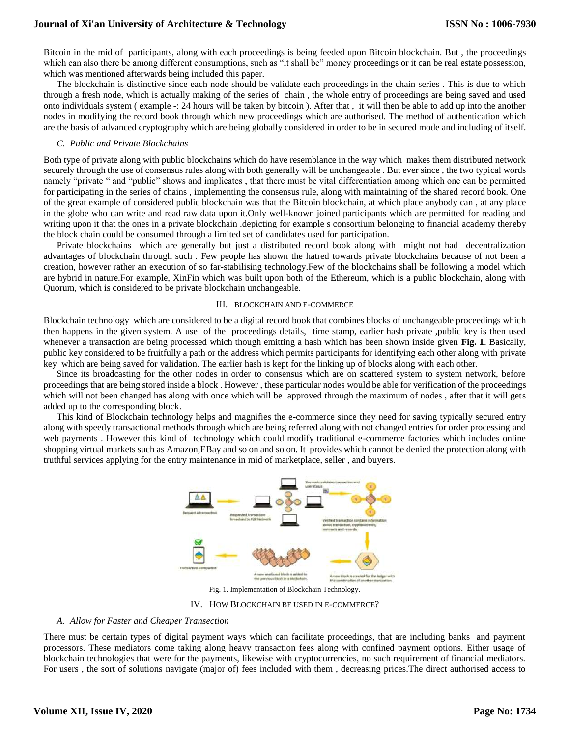Bitcoin in the mid of participants, along with each proceedings is being feeded upon Bitcoin blockchain. But , the proceedings which can also there be among different consumptions, such as "it shall be" money proceedings or it can be real estate possession, which was mentioned afterwards being included this paper.

The blockchain is distinctive since each node should be validate each proceedings in the chain series . This is due to which through a fresh node, which is actually making of the series of chain , the whole entry of proceedings are being saved and used onto individuals system ( example -: 24 hours will be taken by bitcoin ). After that , it will then be able to add up into the another nodes in modifying the record book through which new proceedings which are authorised. The method of authentication which are the basis of advanced cryptography which are being globally considered in order to be in secured mode and including of itself.

## *C. Public and Private Blockchains*

Both type of private along with public blockchains which do have resemblance in the way which makes them distributed network securely through the use of consensus rules along with both generally will be unchangeable . But ever since , the two typical words namely "private " and "public" shows and implicates , that there must be vital differentiation among which one can be permitted for participating in the series of chains , implementing the consensus rule, along with maintaining of the shared record book. One of the great example of considered public blockchain was that the Bitcoin blockchain, at which place anybody can , at any place in the globe who can write and read raw data upon it.Only well-known joined participants which are permitted for reading and writing upon it that the ones in a private blockchain .depicting for example s consortium belonging to financial academy thereby the block chain could be consumed through a limited set of candidates used for participation.

Private blockchains which are generally but just a distributed record book along with might not had decentralization advantages of blockchain through such . Few people has shown the hatred towards private blockchains because of not been a creation, however rather an execution of so far-stabilising technology.Few of the blockchains shall be following a model which are hybrid in nature.For example, XinFin which was built upon both of the Ethereum, which is a public blockchain, along with Quorum, which is considered to be private blockchain unchangeable.

#### III. BLOCKCHAIN AND E-COMMERCE

Blockchain technology which are considered to be a digital record book that combines blocks of unchangeable proceedings which then happens in the given system. A use of the proceedings details, time stamp, earlier hash private ,public key is then used whenever a transaction are being processed which though emitting a hash which has been shown inside given **Fig. 1**. Basically, public key considered to be fruitfully a path or the address which permits participants for identifying each other along with private key which are being saved for validation. The earlier hash is kept for the linking up of blocks along with each other.

Since its broadcasting for the other nodes in order to consensus which are on scattered system to system network, before proceedings that are being stored inside a block . However , these particular nodes would be able for verification of the proceedings which will not been changed has along with once which will be approved through the maximum of nodes, after that it will gets added up to the corresponding block.

This kind of Blockchain technology helps and magnifies the e-commerce since they need for saving typically secured entry along with speedy transactional methods through which are being referred along with not changed entries for order processing and web payments . However this kind of technology which could modify traditional e-commerce factories which includes online shopping virtual markets such as Amazon,EBay and so on and so on. It provides which cannot be denied the protection along with truthful services applying for the entry maintenance in mid of marketplace, seller , and buyers.



Fig. 1. Implementation of Blockchain Technology.

IV. HOW BLOCKCHAIN BE USED IN E-COMMERCE?

#### *A. Allow for Faster and Cheaper Transection*

There must be certain types of digital payment ways which can facilitate proceedings, that are including banks and payment processors. These mediators come taking along heavy transaction fees along with confined payment options. Either usage of blockchain technologies that were for the payments, likewise with cryptocurrencies, no such requirement of financial mediators. For users , the sort of solutions navigate (major of) fees included with them , decreasing prices.The direct authorised access to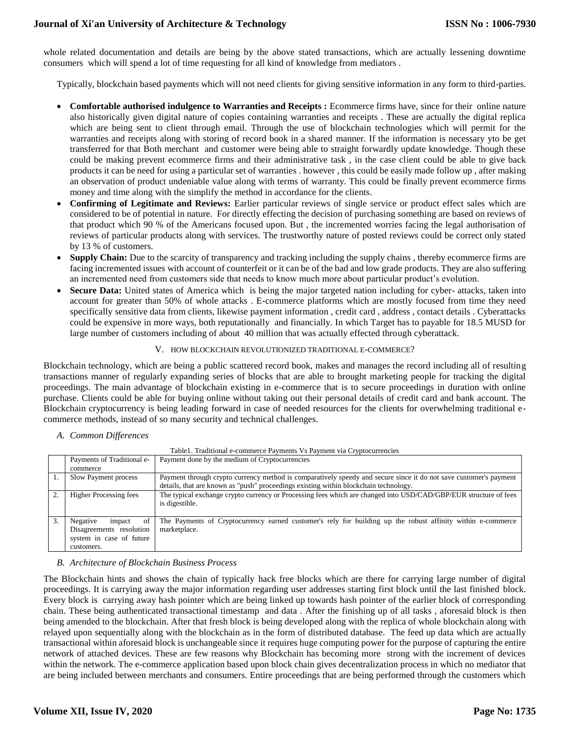whole related documentation and details are being by the above stated transactions, which are actually lessening downtime consumers which will spend a lot of time requesting for all kind of knowledge from mediators .

Typically, blockchain based payments which will not need clients for giving sensitive information in any form to third-parties.

- **Comfortable authorised indulgence to Warranties and Receipts :** Ecommerce firms have, since for their online nature also historically given digital nature of copies containing warranties and receipts . These are actually the digital replica which are being sent to client through email. Through the use of blockchain technologies which will permit for the warranties and receipts along with storing of record book in a shared manner. If the information is necessary yto be get transferred for that Both merchant and customer were being able to straight forwardly update knowledge. Though these could be making prevent ecommerce firms and their administrative task , in the case client could be able to give back products it can be need for using a particular set of warranties . however , this could be easily made follow up , after making an observation of product undeniable value along with terms of warranty. This could be finally prevent ecommerce firms money and time along with the simplify the method in accordance for the clients.
- **Confirming of Legitimate and Reviews:** Earlier particular reviews of single service or product effect sales which are considered to be of potential in nature. For directly effecting the decision of purchasing something are based on reviews of that product which 90 % of the Americans focused upon. But , the incremented worries facing the legal authorisation of reviews of particular products along with services. The trustworthy nature of posted reviews could be correct only stated by 13 % of customers.
- **Supply Chain:** Due to the scarcity of transparency and tracking including the supply chains , thereby ecommerce firms are facing incremented issues with account of counterfeit or it can be of the bad and low grade products. They are also suffering an incremented need from customers side that needs to know much more about particular product's evolution.
- Secure Data: United states of America which is being the major targeted nation including for cyber- attacks, taken into account for greater than 50% of whole attacks . E-commerce platforms which are mostly focused from time they need specifically sensitive data from clients, likewise payment information , credit card , address , contact details . Cyberattacks could be expensive in more ways, both reputationally and financially. In which Target has to payable for 18.5 MUSD for large number of customers including of about 40 million that was actually effected through cyberattack.

## V. HOW BLOCKCHAIN REVOLUTIONIZED TRADITIONAL E-COMMERCE?

Blockchain technology, which are being a public scattered record book, makes and manages the record including all of resulting transactions manner of regularly expanding series of blocks that are able to brought marketing people for tracking the digital proceedings. The main advantage of blockchain existing in e-commerce that is to secure proceedings in duration with online purchase. Clients could be able for buying online without taking out their personal details of credit card and bank account. The Blockchain cryptocurrency is being leading forward in case of needed resources for the clients for overwhelming traditional ecommerce methods, instead of so many security and technical challenges.

*A. Common Differences* 

| TableT. Traditional e-commerce Payments Vs Payment via Cryptocurrencies |                               |                                                                                                                   |
|-------------------------------------------------------------------------|-------------------------------|-------------------------------------------------------------------------------------------------------------------|
|                                                                         | Payments of Traditional e-    | Payment done by the medium of Cryptocurrencies                                                                    |
|                                                                         | commerce                      |                                                                                                                   |
|                                                                         | Slow Payment process          | Payment through crypto currency method is comparatively speedy and secure since it do not save customer's payment |
|                                                                         |                               | details, that are known as "push" proceedings existing within blockchain technology.                              |
| 2.                                                                      | <b>Higher Processing fees</b> | The typical exchange crypto currency or Processing fees which are changed into USD/CAD/GBP/EUR structure of fees  |
|                                                                         |                               | is digestible.                                                                                                    |
|                                                                         |                               |                                                                                                                   |
| 3.                                                                      | Negative<br>impact<br>οf      | The Payments of Cryptocurrency earned customer's rely for building up the robust affinity within e-commerce       |
|                                                                         | Disagreements resolution      | marketplace.                                                                                                      |
|                                                                         | system in case of future      |                                                                                                                   |
|                                                                         | customers.                    |                                                                                                                   |

# $T_{\text{c}}$ 1. Traditional e-commerce  $D_{\text{c}}$   $\ldots$   $\ldots$   $\ldots$   $\ldots$

## *B. Architecture of Blockchain Business Process*

The Blockchain hints and shows the chain of typically hack free blocks which are there for carrying large number of digital proceedings. It is carrying away the major information regarding user addresses starting first block until the last finished block. Every block is carrying away hash pointer which are being linked up towards hash pointer of the earlier block of corresponding chain. These being authenticated transactional timestamp and data . After the finishing up of all tasks , aforesaid block is then being amended to the blockchain. After that fresh block is being developed along with the replica of whole blockchain along with relayed upon sequentially along with the blockchain as in the form of distributed database. The feed up data which are actually transactional within aforesaid block is unchangeable since it requires huge computing power for the purpose of capturing the entire network of attached devices. These are few reasons why Blockchain has becoming more strong with the increment of devices within the network. The e-commerce application based upon block chain gives decentralization process in which no mediator that are being included between merchants and consumers. Entire proceedings that are being performed through the customers which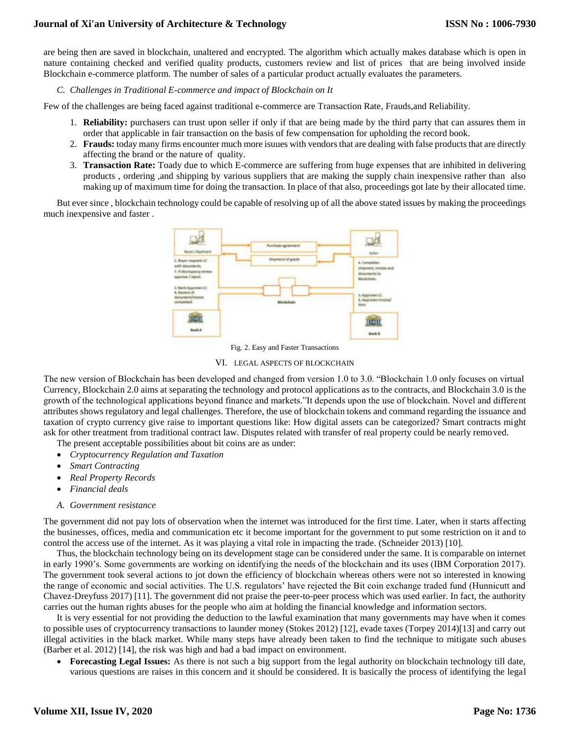are being then are saved in blockchain, unaltered and encrypted. The algorithm which actually makes database which is open in nature containing checked and verified quality products, customers review and list of prices that are being involved inside Blockchain e-commerce platform. The number of sales of a particular product actually evaluates the parameters.

*C. Challenges in Traditional E-commerce and impact of Blockchain on It* 

Few of the challenges are being faced against traditional e-commerce are Transaction Rate, Frauds,and Reliability.

- 1. **Reliability:** purchasers can trust upon seller if only if that are being made by the third party that can assures them in order that applicable in fair transaction on the basis of few compensation for upholding the record book.
- 2. **Frauds:** today many firms encounter much more isuues with vendors that are dealing with false products that are directly affecting the brand or the nature of quality.
- 3. **Transaction Rate:** Toady due to which E-commerce are suffering from huge expenses that are inhibited in delivering products , ordering ,and shipping by various suppliers that are making the supply chain inexpensive rather than also making up of maximum time for doing the transaction. In place of that also, proceedings got late by their allocated time.

But ever since , blockchain technology could be capable of resolving up of all the above stated issues by making the proceedings much inexpensive and faster .



Fig. 2. Easy and Faster Transactions

# VI. LEGAL ASPECTS OF BLOCKCHAIN

The new version of Blockchain has been developed and changed from version 1.0 to 3.0. "Blockchain 1.0 only focuses on virtual Currency, Blockchain 2.0 aims at separating the technology and protocol applications as to the contracts, and Blockchain 3.0 is the growth of the technological applications beyond finance and markets."It depends upon the use of blockchain. Novel and different attributes shows regulatory and legal challenges. Therefore, the use of blockchain tokens and command regarding the issuance and taxation of crypto currency give raise to important questions like: How digital assets can be categorized? Smart contracts might ask for other treatment from traditional contract law. Disputes related with transfer of real property could be nearly removed.

The present acceptable possibilities about bit coins are as under:

- *Cryptocurrency Regulation and Taxation*
- *Smart Contracting*
- *Real Property Records*
- *Financial deals*
- *A. Government resistance*

The government did not pay lots of observation when the internet was introduced for the first time. Later, when it starts affecting the businesses, offices, media and communication etc it become important for the government to put some restriction on it and to control the access use of the internet. As it was playing a vital role in impacting the trade. (Schneider 2013) [10].

Thus, the blockchain technology being on its development stage can be considered under the same. It is comparable on internet in early 1990's. Some governments are working on identifying the needs of the blockchain and its uses (IBM Corporation 2017). The government took several actions to jot down the efficiency of blockchain whereas others were not so interested in knowing the range of economic and social activities. The U.S. regulators' have rejected the Bit coin exchange traded fund (Hunnicutt and Chavez-Dreyfuss 2017) [11]. The government did not praise the peer-to-peer process which was used earlier. In fact, the authority carries out the human rights abuses for the people who aim at holding the financial knowledge and information sectors.

It is very essential for not providing the deduction to the lawful examination that many governments may have when it comes to possible uses of cryptocurrency transactions to launder money (Stokes 2012) [12], evade taxes (Torpey 2014)[13] and carry out illegal activities in the black market. While many steps have already been taken to find the technique to mitigate such abuses (Barber et al. 2012) [14], the risk was high and had a bad impact on environment.

 **Forecasting Legal Issues:** As there is not such a big support from the legal authority on blockchain technology till date, various questions are raises in this concern and it should be considered. It is basically the process of identifying the legal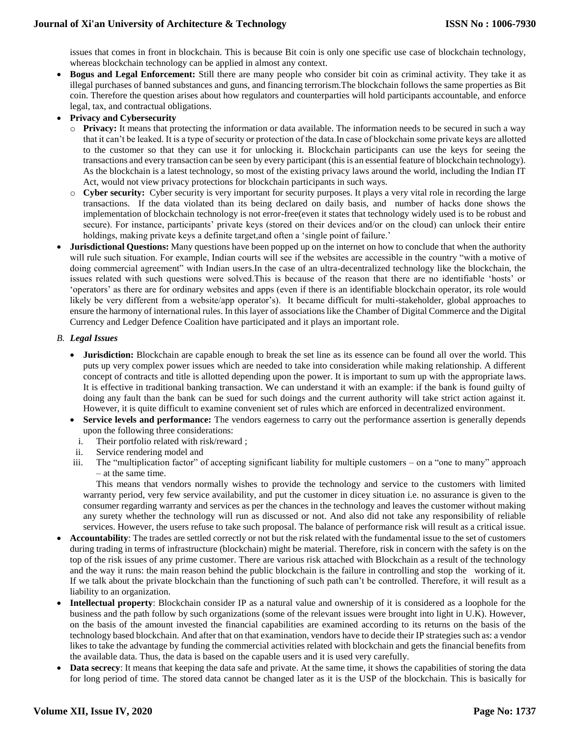issues that comes in front in blockchain. This is because Bit coin is only one specific use case of blockchain technology, whereas blockchain technology can be applied in almost any context.

- **Bogus and Legal Enforcement:** Still there are many people who consider bit coin as criminal activity. They take it as illegal purchases of banned substances and guns, and financing terrorism.The blockchain follows the same properties as Bit coin. Therefore the question arises about how regulators and counterparties will hold participants accountable, and enforce legal, tax, and contractual obligations.
- **Privacy and Cybersecurity** 
	- o **Privacy:** It means that protecting the information or data available. The information needs to be secured in such a way that it can't be leaked. It is a type of security or protection of the data.In case of blockchain some private keys are allotted to the customer so that they can use it for unlocking it. Blockchain participants can use the keys for seeing the transactions and every transaction can be seen by every participant (this is an essential feature of blockchain technology). As the blockchain is a latest technology, so most of the existing privacy laws around the world, including the Indian IT Act, would not view privacy protections for blockchain participants in such ways.
	- o **Cyber security:** Cyber security is very important for security purposes. It plays a very vital role in recording the large transactions. If the data violated than its being declared on daily basis, and number of hacks done shows the implementation of blockchain technology is not error-free(even it states that technology widely used is to be robust and secure). For instance, participants' private keys (stored on their devices and/or on the cloud) can unlock their entire holdings, making private keys a definite target, and often a 'single point of failure.'
- **Jurisdictional Questions:** Many questions have been popped up on the internet on how to conclude that when the authority will rule such situation. For example, Indian courts will see if the websites are accessible in the country "with a motive of doing commercial agreement" with Indian users.In the case of an ultra-decentralized technology like the blockchain, the issues related with such questions were solved.This is because of the reason that there are no identifiable 'hosts' or 'operators' as there are for ordinary websites and apps (even if there is an identifiable blockchain operator, its role would likely be very different from a website/app operator's). It became difficult for multi-stakeholder, global approaches to ensure the harmony of international rules. In this layer of associations like the Chamber of Digital Commerce and the Digital Currency and Ledger Defence Coalition have participated and it plays an important role.

# *B. Legal Issues*

- **Jurisdiction:** Blockchain are capable enough to break the set line as its essence can be found all over the world. This puts up very complex power issues which are needed to take into consideration while making relationship. A different concept of contracts and title is allotted depending upon the power. It is important to sum up with the appropriate laws. It is effective in traditional banking transaction. We can understand it with an example: if the bank is found guilty of doing any fault than the bank can be sued for such doings and the current authority will take strict action against it. However, it is quite difficult to examine convenient set of rules which are enforced in decentralized environment.
- **Service levels and performance:** The vendors eagerness to carry out the performance assertion is generally depends upon the following three considerations:
	- i. Their portfolio related with risk/reward ;
	- ii. Service rendering model and
- iii. The "multiplication factor" of accepting significant liability for multiple customers on a "one to many" approach – at the same time.

This means that vendors normally wishes to provide the technology and service to the customers with limited warranty period, very few service availability, and put the customer in dicey situation i.e. no assurance is given to the consumer regarding warranty and services as per the chances in the technology and leaves the customer without making any surety whether the technology will run as discussed or not. And also did not take any responsibility of reliable services. However, the users refuse to take such proposal. The balance of performance risk will result as a critical issue.

- **Accountability**: The trades are settled correctly or not but the risk related with the fundamental issue to the set of customers during trading in terms of infrastructure (blockchain) might be material. Therefore, risk in concern with the safety is on the top of the risk issues of any prime customer. There are various risk attached with Blockchain as a result of the technology and the way it runs: the main reason behind the public blockchain is the failure in controlling and stop the working of it. If we talk about the private blockchain than the functioning of such path can't be controlled. Therefore, it will result as a liability to an organization.
- **Intellectual property**: Blockchain consider IP as a natural value and ownership of it is considered as a loophole for the business and the path follow by such organizations (some of the relevant issues were brought into light in U.K). However, on the basis of the amount invested the financial capabilities are examined according to its returns on the basis of the technology based blockchain. And after that on that examination, vendors have to decide their IP strategies such as: a vendor likes to take the advantage by funding the commercial activities related with blockchain and gets the financial benefits from the available data. Thus, the data is based on the capable users and it is used very carefully.
- **Data secrecy**: It means that keeping the data safe and private. At the same time, it shows the capabilities of storing the data for long period of time. The stored data cannot be changed later as it is the USP of the blockchain. This is basically for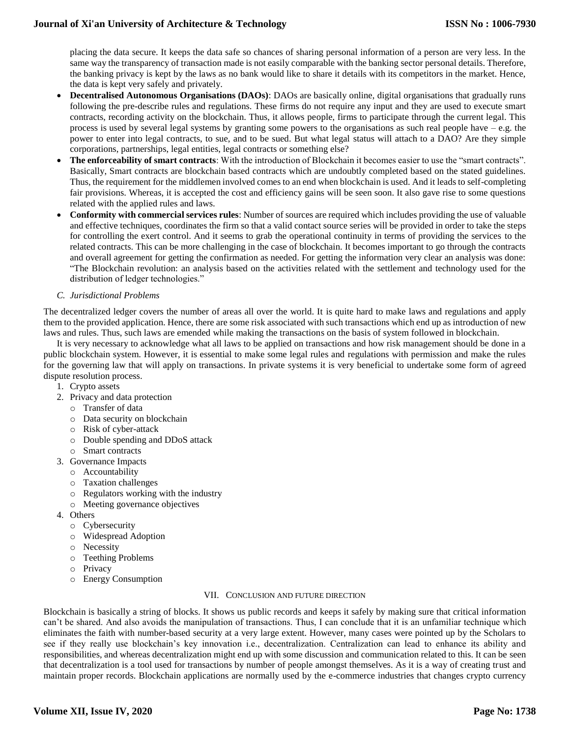placing the data secure. It keeps the data safe so chances of sharing personal information of a person are very less. In the same way the transparency of transaction made is not easily comparable with the banking sector personal details. Therefore, the banking privacy is kept by the laws as no bank would like to share it details with its competitors in the market. Hence, the data is kept very safely and privately.

- **Decentralised Autonomous Organisations (DAOs)**: DAOs are basically online, digital organisations that gradually runs following the pre-describe rules and regulations. These firms do not require any input and they are used to execute smart contracts, recording activity on the blockchain. Thus, it allows people, firms to participate through the current legal. This process is used by several legal systems by granting some powers to the organisations as such real people have – e.g. the power to enter into legal contracts, to sue, and to be sued. But what legal status will attach to a DAO? Are they simple corporations, partnerships, legal entities, legal contracts or something else?
- **The enforceability of smart contracts**: With the introduction of Blockchain it becomes easier to use the "smart contracts". Basically, Smart contracts are blockchain based contracts which are undoubtly completed based on the stated guidelines. Thus, the requirement for the middlemen involved comes to an end when blockchain is used. And it leads to self-completing fair provisions. Whereas, it is accepted the cost and efficiency gains will be seen soon. It also gave rise to some questions related with the applied rules and laws.
- **Conformity with commercial services rules**: Number of sources are required which includes providing the use of valuable and effective techniques, coordinates the firm so that a valid contact source series will be provided in order to take the steps for controlling the exert control. And it seems to grab the operational continuity in terms of providing the services to the related contracts. This can be more challenging in the case of blockchain. It becomes important to go through the contracts and overall agreement for getting the confirmation as needed. For getting the information very clear an analysis was done: "The Blockchain revolution: an analysis based on the activities related with the settlement and technology used for the distribution of ledger technologies."
- *C. Jurisdictional Problems*

The decentralized ledger covers the number of areas all over the world. It is quite hard to make laws and regulations and apply them to the provided application. Hence, there are some risk associated with such transactions which end up as introduction of new laws and rules. Thus, such laws are emended while making the transactions on the basis of system followed in blockchain.

It is very necessary to acknowledge what all laws to be applied on transactions and how risk management should be done in a public blockchain system. However, it is essential to make some legal rules and regulations with permission and make the rules for the governing law that will apply on transactions. In private systems it is very beneficial to undertake some form of agreed dispute resolution process.

- 1. Crypto assets
- 2. Privacy and data protection
	- o Transfer of data
	- o Data security on blockchain
	- o Risk of cyber-attack
	- o Double spending and DDoS attack
	- o Smart contracts
- 3. Governance Impacts
	- o Accountability
	- o Taxation challenges
	- o Regulators working with the industry
	- o Meeting governance objectives
- 4. Others
	- o Cybersecurity
	- o Widespread Adoption
	- o Necessity
	- o Teething Problems
	- o Privacy
	- o Energy Consumption

# VII. CONCLUSION AND FUTURE DIRECTION

Blockchain is basically a string of blocks. It shows us public records and keeps it safely by making sure that critical information can't be shared. And also avoids the manipulation of transactions. Thus, I can conclude that it is an unfamiliar technique which eliminates the faith with number-based security at a very large extent. However, many cases were pointed up by the Scholars to see if they really use blockchain's key innovation i.e., decentralization. Centralization can lead to enhance its ability and responsibilities, and whereas decentralization might end up with some discussion and communication related to this. It can be seen that decentralization is a tool used for transactions by number of people amongst themselves. As it is a way of creating trust and maintain proper records. Blockchain applications are normally used by the e-commerce industries that changes crypto currency